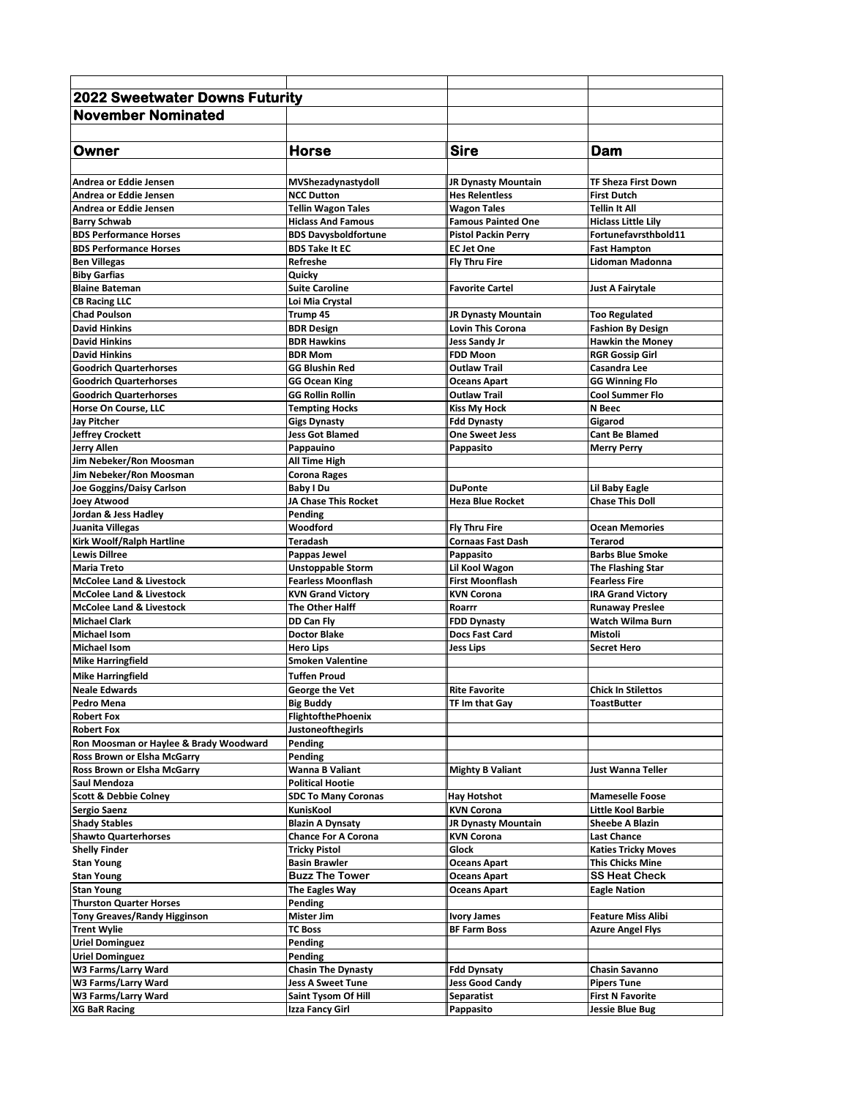| <b>2022 Sweetwater Downs Futurity</b>  |                             |                            |                            |
|----------------------------------------|-----------------------------|----------------------------|----------------------------|
| <b>November Nominated</b>              |                             |                            |                            |
|                                        |                             |                            |                            |
|                                        |                             |                            |                            |
| Owner                                  | <b>Horse</b>                | <b>Sire</b>                | Dam                        |
|                                        |                             |                            |                            |
| Andrea or Eddie Jensen                 | MVShezadynastydoll          | <b>JR Dynasty Mountain</b> | TF Sheza First Down        |
| Andrea or Eddie Jensen                 | <b>NCC Dutton</b>           | <b>Hes Relentless</b>      | <b>First Dutch</b>         |
| Andrea or Eddie Jensen                 | <b>Tellin Wagon Tales</b>   | <b>Wagon Tales</b>         | <b>Tellin It All</b>       |
| <b>Barry Schwab</b>                    | <b>Hiclass And Famous</b>   | <b>Famous Painted One</b>  | <b>Hiclass Little Lily</b> |
| <b>BDS Performance Horses</b>          | <b>BDS Davysboldfortune</b> | <b>Pistol Packin Perrv</b> | Fortunefavrsthbold11       |
| <b>BDS Performance Horses</b>          | <b>BDS Take It EC</b>       | <b>EC Jet One</b>          | <b>Fast Hampton</b>        |
| <b>Ben Villegas</b>                    | Refreshe                    | <b>Fly Thru Fire</b>       | Lidoman Madonna            |
| <b>Biby Garfias</b>                    | Quicky                      |                            |                            |
| <b>Blaine Bateman</b>                  | <b>Suite Caroline</b>       | <b>Favorite Cartel</b>     | Just A Fairytale           |
| <b>CB Racing LLC</b>                   | Loi Mia Crystal             |                            |                            |
| <b>Chad Poulson</b>                    | Trump 45                    | <b>JR Dynasty Mountain</b> | <b>Too Regulated</b>       |
| <b>David Hinkins</b>                   | <b>BDR Design</b>           | <b>Lovin This Corona</b>   | <b>Fashion By Design</b>   |
| <b>David Hinkins</b>                   | <b>BDR Hawkins</b>          | Jess Sandy Jr              | <b>Hawkin the Money</b>    |
| <b>David Hinkins</b>                   | <b>BDR Mom</b>              | <b>FDD Moon</b>            | <b>RGR Gossip Girl</b>     |
| <b>Goodrich Quarterhorses</b>          | <b>GG Blushin Red</b>       | <b>Outlaw Trail</b>        | Casandra Lee               |
| <b>Goodrich Quarterhorses</b>          | GG Ocean King               | <b>Oceans Apart</b>        | <b>GG Winning Flo</b>      |
| <b>Goodrich Quarterhorses</b>          | <b>GG Rollin Rollin</b>     | <b>Outlaw Trail</b>        | <b>Cool Summer Flo</b>     |
| <b>Horse On Course, LLC</b>            | <b>Tempting Hocks</b>       | <b>Kiss My Hock</b>        | N Beec                     |
| <b>Jay Pitcher</b>                     | <b>Gigs Dynasty</b>         | <b>Fdd Dynasty</b>         | Gigarod                    |
| <b>Jeffrey Crockett</b>                | <b>Jess Got Blamed</b>      | <b>One Sweet Jess</b>      | <b>Cant Be Blamed</b>      |
| <b>Jerry Allen</b>                     | Pappauino                   | Pappasito                  | <b>Merry Perry</b>         |
| Jim Nebeker/Ron Moosman                | All Time High               |                            |                            |
| Jim Nebeker/Ron Moosman                | <b>Corona Rages</b>         |                            |                            |
| Joe Goggins/Daisy Carlson              | Baby I Du                   | <b>DuPonte</b>             | Lil Baby Eagle             |
| <b>Joey Atwood</b>                     | JA Chase This Rocket        | <b>Heza Blue Rocket</b>    | <b>Chase This Doll</b>     |
| Jordan & Jess Hadley                   | Pending                     |                            |                            |
| Juanita Villegas                       | Woodford                    | <b>Fly Thru Fire</b>       | <b>Ocean Memories</b>      |
| Kirk Woolf/Ralph Hartline              | Teradash                    | <b>Cornaas Fast Dash</b>   | Terarod                    |
| <b>Lewis Dillree</b>                   | Pappas Jewel                | Pappasito                  | <b>Barbs Blue Smoke</b>    |
| <b>Maria Treto</b>                     | <b>Unstoppable Storm</b>    | Lil Kool Wagon             | <b>The Flashing Star</b>   |
| <b>McColee Land &amp; Livestock</b>    | <b>Fearless Moonflash</b>   | <b>First Moonflash</b>     | <b>Fearless Fire</b>       |
| <b>McColee Land &amp; Livestock</b>    | <b>KVN Grand Victory</b>    | <b>KVN Corona</b>          | <b>IRA Grand Victory</b>   |
| <b>McColee Land &amp; Livestock</b>    | The Other Halff             | Roarrr                     | <b>Runaway Preslee</b>     |
| <b>Michael Clark</b>                   | DD Can Fly                  | <b>FDD Dynasty</b>         | <b>Watch Wilma Burn</b>    |
| <b>Michael Isom</b>                    | <b>Doctor Blake</b>         | Docs Fast Card             | Mistoli                    |
| <b>Michael Isom</b>                    | <b>Hero Lips</b>            | <b>Jess Lips</b>           | <b>Secret Hero</b>         |
| <b>Mike Harringfield</b>               | <b>Smoken Valentine</b>     |                            |                            |
| <b>Mike Harringfield</b>               | <b>Tuffen Proud</b>         |                            |                            |
| <b>Neale Edwards</b>                   | George the Vet              | <b>Rite Favorite</b>       | <b>Chick In Stilettos</b>  |
| Pedro Mena                             | <b>Big Buddy</b>            | TF Im that Gay             | ToastButter                |
| <b>Robert Fox</b>                      | <b>FlightofthePhoenix</b>   |                            |                            |
| <b>Robert Fox</b>                      | <b>Justoneofthegirls</b>    |                            |                            |
| Ron Moosman or Haylee & Brady Woodward | Pending                     |                            |                            |
| Ross Brown or Elsha McGarry            | Pending                     |                            |                            |
| Ross Brown or Elsha McGarry            | Wanna B Valiant             | <b>Mighty B Valiant</b>    | Just Wanna Teller          |
| Saul Mendoza                           | <b>Political Hootie</b>     |                            |                            |
| <b>Scott &amp; Debbie Colney</b>       | <b>SDC To Many Coronas</b>  | Hay Hotshot                | <b>Mameselle Foose</b>     |
| <b>Sergio Saenz</b>                    | KunisKool                   | <b>KVN Corona</b>          | Little Kool Barbie         |
| <b>Shady Stables</b>                   | <b>Blazin A Dynsaty</b>     | <b>JR Dynasty Mountain</b> | <b>Sheebe A Blazin</b>     |
| <b>Shawto Quarterhorses</b>            | <b>Chance For A Corona</b>  | <b>KVN Corona</b>          | <b>Last Chance</b>         |
| <b>Shelly Finder</b>                   | Tricky Pistol               | Glock                      | <b>Katies Tricky Moves</b> |
| <b>Stan Young</b>                      | <b>Basin Brawler</b>        | <b>Oceans Apart</b>        | <b>This Chicks Mine</b>    |
| <b>Stan Young</b>                      | <b>Buzz The Tower</b>       | <b>Oceans Apart</b>        | <b>SS Heat Check</b>       |
| <b>Stan Young</b>                      | The Eagles Way              | Oceans Apart               | <b>Eagle Nation</b>        |
| <b>Thurston Quarter Horses</b>         | Pending                     |                            |                            |
| <b>Tony Greaves/Randy Higginson</b>    | Mister Jim                  | <b>Ivory James</b>         | <b>Feature Miss Alibi</b>  |
| <b>Trent Wylie</b>                     | <b>TC Boss</b>              | <b>BF Farm Boss</b>        | <b>Azure Angel Flys</b>    |
| <b>Uriel Dominguez</b>                 | Pending                     |                            |                            |
| <b>Uriel Dominguez</b>                 | Pending                     |                            |                            |
| W3 Farms/Larry Ward                    | <b>Chasin The Dynasty</b>   | <b>Fdd Dynsaty</b>         | Chasin Savanno             |
| W3 Farms/Larry Ward                    | Jess A Sweet Tune           | <b>Jess Good Candy</b>     | <b>Pipers Tune</b>         |
| W3 Farms/Larry Ward                    | Saint Tysom Of Hill         | Separatist                 | <b>First N Favorite</b>    |
| <b>XG BaR Racing</b>                   | Izza Fancy Girl             | Pappasito                  | Jessie Blue Bug            |